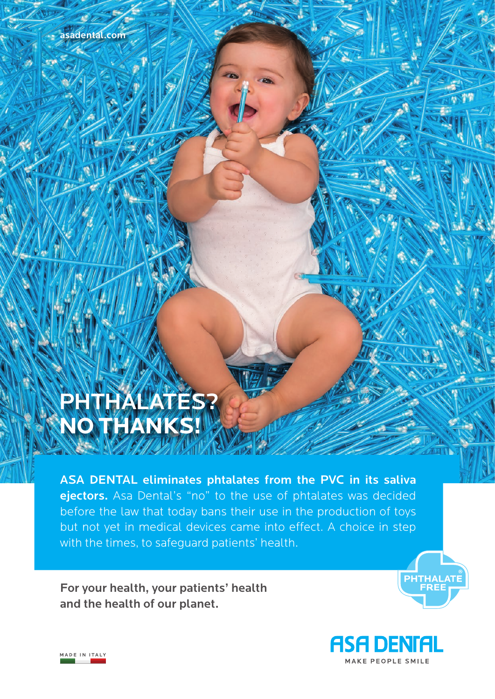# PHTHALATES? **NO THANKS!**

ASA DENTAL eliminates phtalates from the PVC in its saliva ejectors. Asa Dental's "no" to the use of phtalates was decided before the law that today bans their use in the production of toys but not yet in medical devices came into effect. A choice in step with the times, to safeguard patients' health.

For your health, your patients' health and the health of our planet.